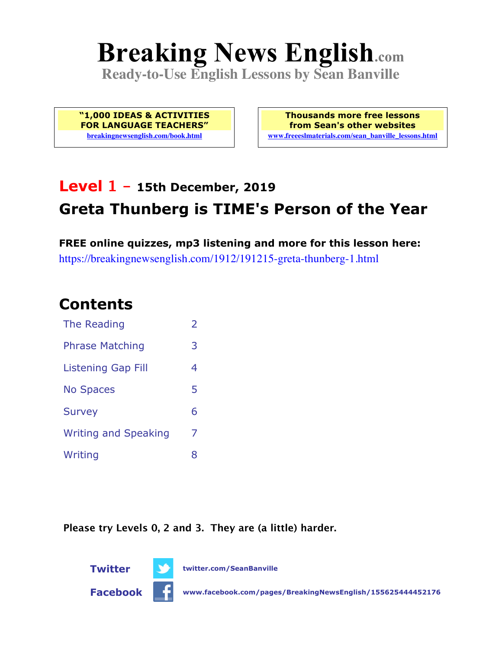# **Breaking News English.com**

**Ready-to-Use English Lessons by Sean Banville**

**"1,000 IDEAS & ACTIVITIES FOR LANGUAGE TEACHERS" breakingnewsenglish.com/book.html**

**Thousands more free lessons from Sean's other websites www.freeeslmaterials.com/sean\_banville\_lessons.html**

# **Level 1 - 15th December, 2019 Greta Thunberg is TIME's Person of the Year**

**FREE online quizzes, mp3 listening and more for this lesson here:** https://breakingnewsenglish.com/1912/191215-greta-thunberg-1.html

### **Contents**

| The Reading                 | $\overline{\phantom{a}}$ |
|-----------------------------|--------------------------|
| <b>Phrase Matching</b>      | 3                        |
| Listening Gap Fill          | 4                        |
| <b>No Spaces</b>            | 5                        |
| <b>Survey</b>               | 6                        |
| <b>Writing and Speaking</b> | 7                        |
| Writing                     | 8                        |

**Please try Levels 0, 2 and 3. They are (a little) harder.**

**Twitter twitter.com/SeanBanville**



**Facebook www.facebook.com/pages/BreakingNewsEnglish/155625444452176**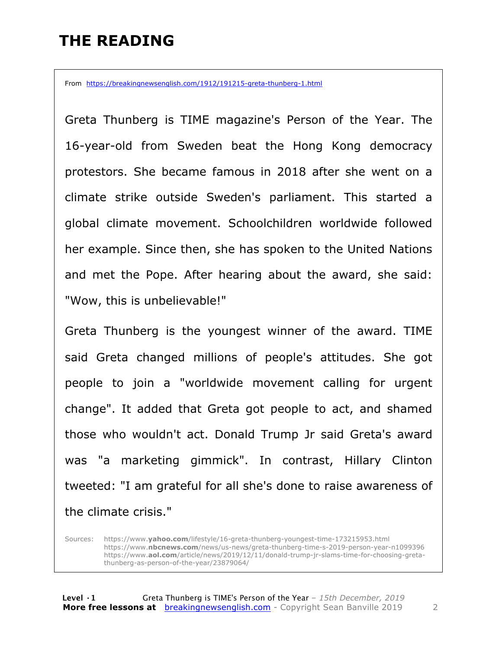## **THE READING**

From https://breakingnewsenglish.com/1912/191215-greta-thunberg-1.html

Greta Thunberg is TIME magazine's Person of the Year. The 16-year-old from Sweden beat the Hong Kong democracy protestors. She became famous in 2018 after she went on a climate strike outside Sweden's parliament. This started a global climate movement. Schoolchildren worldwide followed her example. Since then, she has spoken to the United Nations and met the Pope. After hearing about the award, she said: "Wow, this is unbelievable!"

Greta Thunberg is the youngest winner of the award. TIME said Greta changed millions of people's attitudes. She got people to join a "worldwide movement calling for urgent change". It added that Greta got people to act, and shamed those who wouldn't act. Donald Trump Jr said Greta's award was "a marketing gimmick". In contrast, Hillary Clinton tweeted: "I am grateful for all she's done to raise awareness of the climate crisis."

Sources: https://www.**yahoo.com**/lifestyle/16-greta-thunberg-youngest-time-173215953.html https://www.**nbcnews.com**/news/us-news/greta-thunberg-time-s-2019-person-year-n1099396 https://www.**aol.com**/article/news/2019/12/11/donald-trump-jr-slams-time-for-choosing-gretathunberg-as-person-of-the-year/23879064/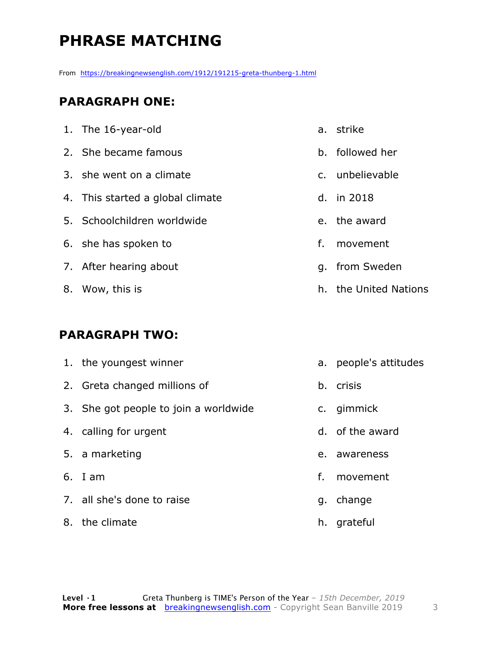# **PHRASE MATCHING**

From https://breakingnewsenglish.com/1912/191215-greta-thunberg-1.html

#### **PARAGRAPH ONE:**

| 1. The 16-year-old               |    | a. strike             |
|----------------------------------|----|-----------------------|
| 2. She became famous             |    | b. followed her       |
| 3. she went on a climate         |    | c. unbelievable       |
| 4. This started a global climate |    | d. in 2018            |
| 5. Schoolchildren worldwide      |    | e. the award          |
| 6. she has spoken to             | f. | movement              |
| 7. After hearing about           |    | q. from Sweden        |
| 8. Wow, this is                  |    | h. the United Nations |

#### **PARAGRAPH TWO:**

| 1. the youngest winner                |    | a. people's attitudes |
|---------------------------------------|----|-----------------------|
| 2. Greta changed millions of          |    | b. crisis             |
| 3. She got people to join a worldwide |    | c. gimmick            |
| 4. calling for urgent                 |    | d. of the award       |
| 5. a marketing                        | e. | awareness             |
| $6.$ I am                             | f. | movement              |
| 7. all she's done to raise            | q. | change                |
| 8. the climate                        |    | h. grateful           |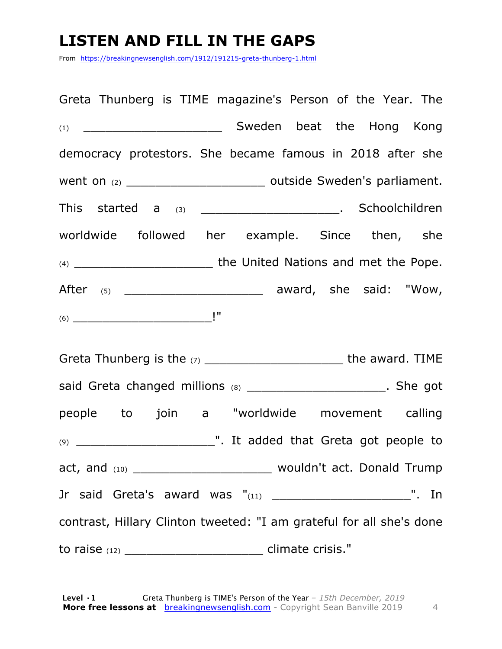## **LISTEN AND FILL IN THE GAPS**

From https://breakingnewsenglish.com/1912/191215-greta-thunberg-1.html

Greta Thunberg is TIME magazine's Person of the Year. The (1) **Sweden beat the Hong Kong** democracy protestors. She became famous in 2018 after she went on (2) \_\_\_\_\_\_\_\_\_\_\_\_\_\_\_\_\_\_\_ outside Sweden's parliament. This started a (3) \_\_\_\_\_\_\_\_\_\_\_\_\_\_\_\_\_\_\_\_\_\_. Schoolchildren worldwide followed her example. Since then, she (4) \_\_\_\_\_\_\_\_\_\_\_\_\_\_\_\_\_\_\_ the United Nations and met the Pope. After (5) \_\_\_\_\_\_\_\_\_\_\_\_\_\_\_\_\_\_\_ award, she said: "Wow, (6) \_\_\_\_\_\_\_\_\_\_\_\_\_\_\_\_\_\_\_!"

Greta Thunberg is the  $(7)$  and the award. TIME said Greta changed millions (8) \_\_\_\_\_\_\_\_\_\_\_\_\_\_\_\_\_\_\_\_\_\_\_\_. She got people to join a "worldwide movement calling (9) \_\_\_\_\_\_\_\_\_\_\_\_\_\_\_\_\_\_\_". It added that Greta got people to act, and (10) \_\_\_\_\_\_\_\_\_\_\_\_\_\_\_\_\_\_\_\_\_\_\_\_\_\_\_ wouldn't act. Donald Trump Jr said Greta's award was "(11) \_\_\_\_\_\_\_\_\_\_\_\_\_\_\_\_\_\_\_\_\_\_\_\_\_\_\_\_\_\_\_". In contrast, Hillary Clinton tweeted: "I am grateful for all she's done to raise (12) \_\_\_\_\_\_\_\_\_\_\_\_\_\_\_\_\_\_\_ climate crisis."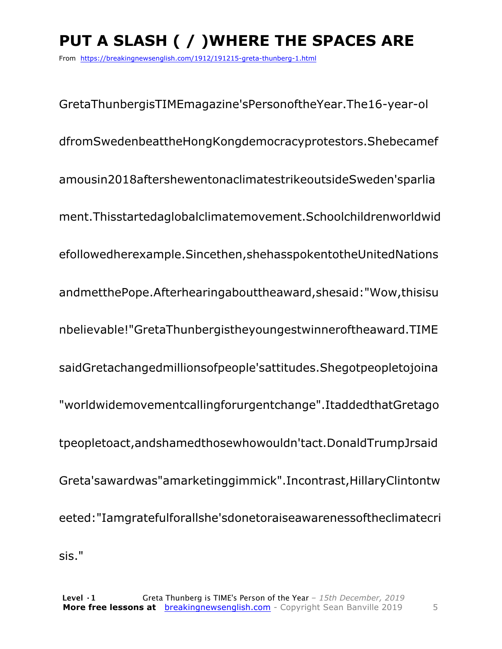# **PUT A SLASH ( / )WHERE THE SPACES ARE**

From https://breakingnewsenglish.com/1912/191215-greta-thunberg-1.html

GretaThunbergisTIMEmagazine'sPersonoftheYear.The16-year-ol dfromSwedenbeattheHongKongdemocracyprotestors.Shebecamef amousin2018aftershewentonaclimatestrikeoutsideSweden'sparlia ment.Thisstartedaglobalclimatemovement.Schoolchildrenworldwid efollowedherexample.Sincethen,shehasspokentotheUnitedNations andmetthePope.Afterhearingabouttheaward,shesaid:"Wow,thisisu nbelievable!"GretaThunbergistheyoungestwinneroftheaward.TIME saidGretachangedmillionsofpeople'sattitudes.Shegotpeopletojoina "worldwidemovementcallingforurgentchange".ItaddedthatGretago tpeopletoact,andshamedthosewhowouldn'tact.DonaldTrumpJrsaid Greta'sawardwas"amarketinggimmick".Incontrast,HillaryClintontw eeted:"Iamgratefulforallshe'sdonetoraiseawarenessoftheclimatecri sis."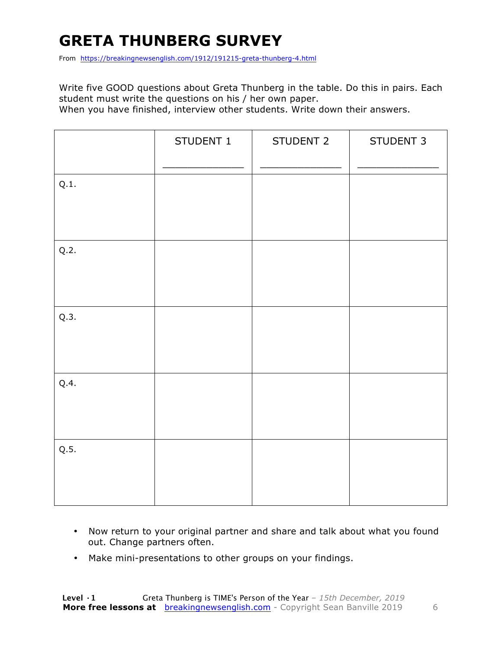# **GRETA THUNBERG SURVEY**

From https://breakingnewsenglish.com/1912/191215-greta-thunberg-4.html

Write five GOOD questions about Greta Thunberg in the table. Do this in pairs. Each student must write the questions on his / her own paper.

When you have finished, interview other students. Write down their answers.

|      | STUDENT 1 | STUDENT 2 | STUDENT 3 |
|------|-----------|-----------|-----------|
| Q.1. |           |           |           |
| Q.2. |           |           |           |
| Q.3. |           |           |           |
| Q.4. |           |           |           |
| Q.5. |           |           |           |

- Now return to your original partner and share and talk about what you found out. Change partners often.
- Make mini-presentations to other groups on your findings.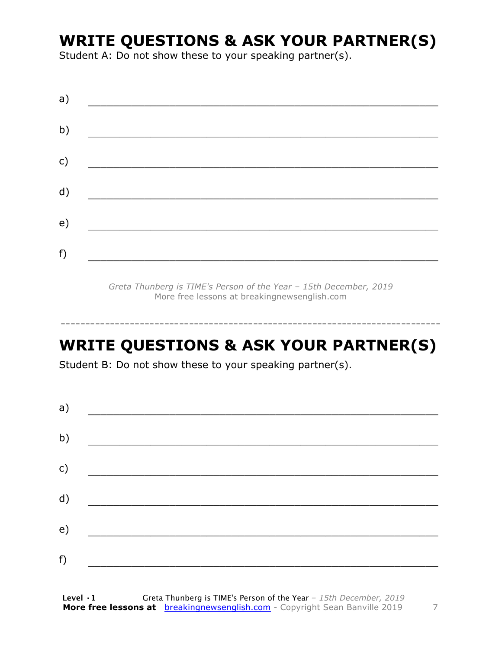### **WRITE QUESTIONS & ASK YOUR PARTNER(S)**

Student A: Do not show these to your speaking partner(s).

*Greta Thunberg is TIME's Person of the Year – 15th December, 2019* More free lessons at breakingnewsenglish.com

### **WRITE QUESTIONS & ASK YOUR PARTNER(S)**

-----------------------------------------------------------------------------

Student B: Do not show these to your speaking partner(s).

| a) |  |  |
|----|--|--|
| b) |  |  |
| c) |  |  |
| d) |  |  |
| e) |  |  |
| f) |  |  |
|    |  |  |

**Level ·1** Greta Thunberg is TIME's Person of the Year *– 15th December, 2019* **More free lessons at** breakingnewsenglish.com - Copyright Sean Banville 2019 7